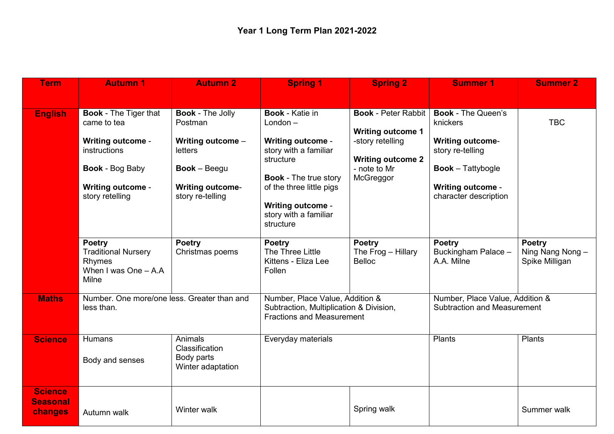| <b>Term</b>                                  | <b>Autumn 1</b>                                                                                                                                                  | <b>Autumn 2</b>                                                                                                                          | <b>Spring 1</b>                                                                                                                                                                                                                      | <b>Spring 2</b>                                                                                                                     | <b>Summer 1</b>                                                                                                                                                       | <b>Summer 2</b>                                    |
|----------------------------------------------|------------------------------------------------------------------------------------------------------------------------------------------------------------------|------------------------------------------------------------------------------------------------------------------------------------------|--------------------------------------------------------------------------------------------------------------------------------------------------------------------------------------------------------------------------------------|-------------------------------------------------------------------------------------------------------------------------------------|-----------------------------------------------------------------------------------------------------------------------------------------------------------------------|----------------------------------------------------|
|                                              |                                                                                                                                                                  |                                                                                                                                          |                                                                                                                                                                                                                                      |                                                                                                                                     |                                                                                                                                                                       |                                                    |
| <b>English</b>                               | <b>Book - The Tiger that</b><br>came to tea<br><b>Writing outcome -</b><br>instructions<br><b>Book - Bog Baby</b><br><b>Writing outcome -</b><br>story retelling | <b>Book - The Jolly</b><br>Postman<br>Writing outcome -<br>letters<br><b>Book</b> - Beegu<br><b>Writing outcome-</b><br>story re-telling | <b>Book</b> - Katie in<br>$London -$<br><b>Writing outcome -</b><br>story with a familiar<br>structure<br><b>Book - The true story</b><br>of the three little pigs<br><b>Writing outcome -</b><br>story with a familiar<br>structure | <b>Book - Peter Rabbit</b><br><b>Writing outcome 1</b><br>-story retelling<br><b>Writing outcome 2</b><br>- note to Mr<br>McGreggor | <b>Book - The Queen's</b><br>knickers<br><b>Writing outcome-</b><br>story re-telling<br><b>Book</b> – Tattybogle<br><b>Writing outcome -</b><br>character description | <b>TBC</b>                                         |
|                                              | <b>Poetry</b><br><b>Traditional Nursery</b><br>Rhymes<br>When I was One $-$ A.A<br>Milne                                                                         | <b>Poetry</b><br>Christmas poems                                                                                                         | <b>Poetry</b><br>The Three Little<br>Kittens - Eliza Lee<br>Follen                                                                                                                                                                   | <b>Poetry</b><br>The Frog - Hillary<br><b>Belloc</b>                                                                                | <b>Poetry</b><br>Buckingham Palace -<br>A.A. Milne                                                                                                                    | <b>Poetry</b><br>Ning Nang Nong-<br>Spike Milligan |
| <b>Maths</b>                                 | Number. One more/one less. Greater than and<br>less than.                                                                                                        |                                                                                                                                          | Number, Place Value, Addition &<br>Subtraction, Multiplication & Division,<br><b>Fractions and Measurement</b>                                                                                                                       |                                                                                                                                     | Number, Place Value, Addition &<br><b>Subtraction and Measurement</b>                                                                                                 |                                                    |
| <b>Science</b>                               | Humans<br>Body and senses                                                                                                                                        | Animals<br>Classification<br>Body parts<br>Winter adaptation                                                                             | Everyday materials                                                                                                                                                                                                                   |                                                                                                                                     | Plants                                                                                                                                                                | <b>Plants</b>                                      |
| <b>Science</b><br><b>Seasonal</b><br>changes | Autumn walk                                                                                                                                                      | Winter walk                                                                                                                              |                                                                                                                                                                                                                                      | Spring walk                                                                                                                         |                                                                                                                                                                       | Summer walk                                        |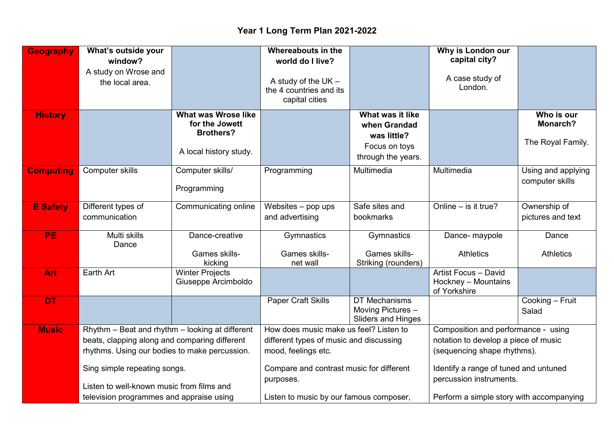## **Year 1 Long Term Plan 2021-2022**

| <b>Geography</b> | What's outside your                             |                                                                  | Whereabouts in the                                                 |                                                                 | Why is London our                                           |                                       |
|------------------|-------------------------------------------------|------------------------------------------------------------------|--------------------------------------------------------------------|-----------------------------------------------------------------|-------------------------------------------------------------|---------------------------------------|
|                  | window?                                         |                                                                  | world do I live?                                                   |                                                                 | capital city?                                               |                                       |
|                  | A study on Wrose and<br>the local area.         |                                                                  | A study of the $UK -$<br>the 4 countries and its<br>capital cities |                                                                 | A case study of<br>London.                                  |                                       |
| <b>History</b>   |                                                 | <b>What was Wrose like</b><br>for the Jowett<br><b>Brothers?</b> |                                                                    | What was it like<br>when Grandad<br>was little?                 |                                                             | Who is our<br>Monarch?                |
|                  |                                                 | A local history study.                                           |                                                                    | Focus on toys<br>through the years.                             |                                                             | The Royal Family.                     |
| <b>Computing</b> | Computer skills                                 | Computer skills/<br>Programming                                  | Programming                                                        | Multimedia                                                      | Multimedia                                                  | Using and applying<br>computer skills |
| <b>E</b> Safety  | Different types of                              | Communicating online                                             | Websites - pop ups                                                 | Safe sites and                                                  | Online $-$ is it true?                                      | Ownership of                          |
|                  | communication                                   |                                                                  | and advertising                                                    | bookmarks                                                       |                                                             | pictures and text                     |
| <b>PE</b>        | Multi skills<br>Dance                           | Dance-creative                                                   | Gymnastics                                                         | Gymnastics                                                      | Dance- maypole                                              | Dance                                 |
|                  |                                                 | Games skills-<br>kicking                                         | Games skills-<br>net wall                                          | Games skills-<br>Striking (rounders)                            | <b>Athletics</b>                                            | <b>Athletics</b>                      |
| Art              | Earth Art                                       | <b>Winter Projects</b><br>Giuseppe Arcimboldo                    |                                                                    |                                                                 | Artist Focus - David<br>Hockney - Mountains<br>of Yorkshire |                                       |
| <b>DT</b>        |                                                 |                                                                  | <b>Paper Craft Skills</b>                                          | DT Mechanisms<br>Moving Pictures -<br><b>Sliders and Hinges</b> |                                                             | Cooking - Fruit<br>Salad              |
| <b>Music</b>     | Rhythm - Beat and rhythm - looking at different |                                                                  | How does music make us feel? Listen to                             |                                                                 | Composition and performance - using                         |                                       |
|                  | beats, clapping along and comparing different   |                                                                  | different types of music and discussing                            |                                                                 | notation to develop a piece of music                        |                                       |
|                  | rhythms. Using our bodies to make percussion.   |                                                                  | mood, feelings etc.                                                |                                                                 | (sequencing shape rhythms).                                 |                                       |
|                  | Sing simple repeating songs.                    |                                                                  | Compare and contrast music for different                           |                                                                 | Identify a range of tuned and untuned                       |                                       |
|                  | Listen to well-known music from films and       |                                                                  | purposes.                                                          |                                                                 | percussion instruments.                                     |                                       |
|                  | television programmes and appraise using        |                                                                  | Listen to music by our famous composer,                            |                                                                 | Perform a simple story with accompanying                    |                                       |